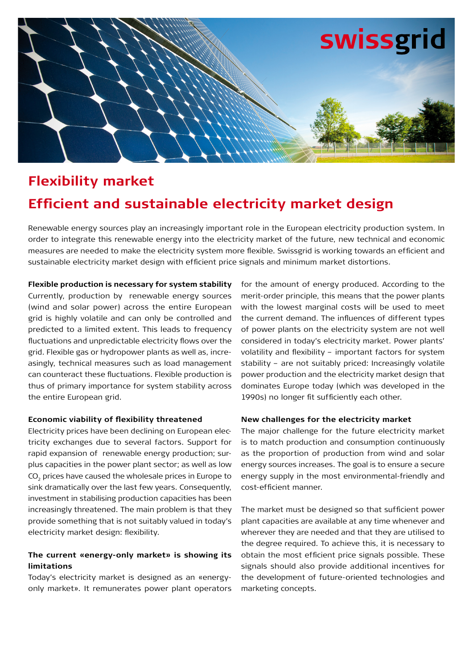

# **Flexibility market Efficient and sustainable electricity market design**

Renewable energy sources play an increasingly important role in the European electricity production system. In order to integrate this renewable energy into the electricity market of the future, new technical and economic measures are needed to make the electricity system more flexible. Swissgrid is working towards an efficient and sustainable electricity market design with efficient price signals and minimum market distortions.

#### **Flexible production is necessary for system stability**

Currently, production by renewable energy sources (wind and solar power) across the entire European grid is highly volatile and can only be controlled and predicted to a limited extent. This leads to frequency fluctuations and unpredictable electricity flows over the grid. Flexible gas or hydropower plants as well as, increasingly, technical measures such as load management can counteract these fluctuations. Flexible production is thus of primary importance for system stability across the entire European grid.

#### **Economic viability of flexibility threatened**

Electricity prices have been declining on European electricity exchanges due to several factors. Support for rapid expansion of renewable energy production; surplus capacities in the power plant sector; as well as low CO<sub>2</sub> prices have caused the wholesale prices in Europe to sink dramatically over the last few years. Consequently, investment in stabilising production capacities has been increasingly threatened. The main problem is that they provide something that is not suitably valued in today's electricity market design: flexibility.

### **The current «energy-only market» is showing its limitations**

Today's electricity market is designed as an «energyonly market». It remunerates power plant operators for the amount of energy produced. According to the merit-order principle, this means that the power plants with the lowest marginal costs will be used to meet the current demand. The influences of different types of power plants on the electricity system are not well considered in today's electricity market. Power plants' volatility and flexibility – important factors for system stability – are not suitably priced: Increasingly volatile power production and the electricity market design that dominates Europe today (which was developed in the 1990s) no longer fit sufficiently each other.

#### **New challenges for the electricity market**

The major challenge for the future electricity market is to match production and consumption continuously as the proportion of production from wind and solar energy sources increases. The goal is to ensure a secure energy supply in the most environmental-friendly and cost-efficient manner.

The market must be designed so that sufficient power plant capacities are available at any time whenever and wherever they are needed and that they are utilised to the degree required. To achieve this, it is necessary to obtain the most efficient price signals possible. These signals should also provide additional incentives for the development of future-oriented technologies and marketing concepts.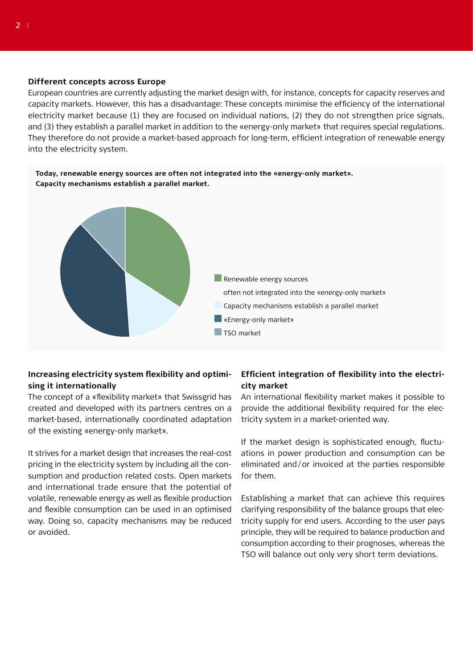#### **Different concepts across Europe**

European countries are currently adjusting the market design with, for instance, concepts for capacity reserves and capacity markets. However, this has a disadvantage: These concepts minimise the efficiency of the international electricity market because (1) they are focused on individual nations, (2) they do not strengthen price signals, and (3) they establish a parallel market in addition to the «energy-only market» that requires special regulations. They therefore do not provide a market-based approach for long-term, efficient integration of renewable energy into the electricity system.



# **Increasing electricity system flexibility and optimising it internationally**

The concept of a «flexibility market» that Swissgrid has created and developed with its partners centres on a market-based, internationally coordinated adaptation of the existing «energy-only market».

It strives for a market design that increases the real-cost pricing in the electricity system by including all the consumption and production related costs. Open markets and international trade ensure that the potential of volatile, renewable energy as well as flexible production and flexible consumption can be used in an optimised way. Doing so, capacity mechanisms may be reduced or avoided.

# **Efficient integration of flexibility into the electricity market**

An international flexibility market makes it possible to provide the additional flexibility required for the electricity system in a market-oriented way.

If the market design is sophisticated enough, fluctuations in power production and consumption can be eliminated and/or invoiced at the parties responsible for them.

Establishing a market that can achieve this requires clarifying responsibility of the balance groups that electricity supply for end users. According to the user pays principle, they will be required to balance production and consumption according to their prognoses, whereas the TSO will balance out only very short term deviations.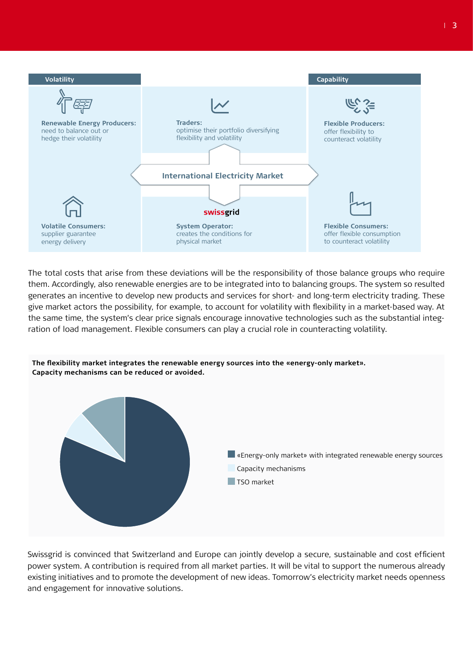

The total costs that arise from these deviations will be the responsibility of those balance groups who require them. Accordingly, also renewable energies are to be integrated into to balancing groups. The system so resulted generates an incentive to develop new products and services for short- and long-term electricity trading. These give market actors the possibility, for example, to account for volatility with flexibility in a market-based way. At the same time, the system's clear price signals encourage innovative technologies such as the substantial integration of load management. Flexible consumers can play a crucial role in counteracting volatility.



Swissgrid is convinced that Switzerland and Europe can jointly develop a secure, sustainable and cost efficient power system. A contribution is required from all market parties. It will be vital to support the numerous already existing initiatives and to promote the development of new ideas. Tomorrow's electricity market needs openness and engagement for innovative solutions.